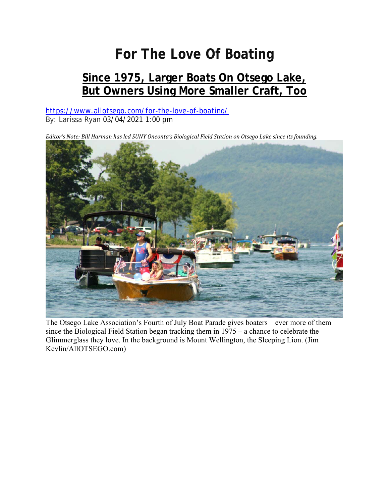## **For The Love Of Boating**

## **Since 1975, Larger Boats On Otsego Lake, But Owners Using More Smaller Craft, Too**

https://www.allotsego.com/for-the-love-of-boating/ By: Larissa Ryan 03/04/2021 1:00 pm

Editor's Note: Bill Harman has led SUNY Oneonta's Biological Field Station on Otsego Lake since its founding.



The Otsego Lake Association's Fourth of July Boat Parade gives boaters – ever more of them since the Biological Field Station began tracking them in 1975 – a chance to celebrate the Glimmerglass they love. In the background is Mount Wellington, the Sleeping Lion. (Jim Kevlin/AllOTSEGO.com)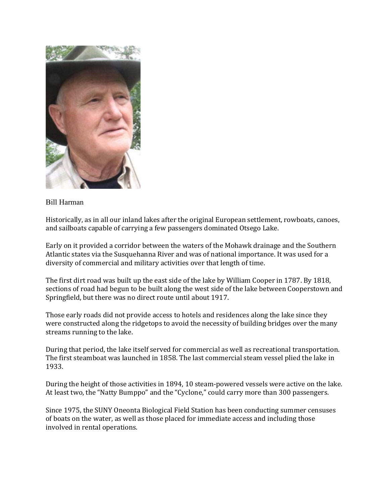

## Bill Harman

Historically, as in all our inland lakes after the original European settlement, rowboats, canoes, and sailboats capable of carrying a few passengers dominated Otsego Lake.

Early on it provided a corridor between the waters of the Mohawk drainage and the Southern Atlantic states via the Susquehanna River and was of national importance. It was used for a diversity of commercial and military activities over that length of time.

The first dirt road was built up the east side of the lake by William Cooper in 1787. By 1818, sections of road had begun to be built along the west side of the lake between Cooperstown and Springfield, but there was no direct route until about 1917.

Those early roads did not provide access to hotels and residences along the lake since they were constructed along the ridgetops to avoid the necessity of building bridges over the many streams running to the lake.

During that period, the lake itself served for commercial as well as recreational transportation. The first steamboat was launched in 1858. The last commercial steam vessel plied the lake in 1933.

During the height of those activities in 1894, 10 steam-powered vessels were active on the lake. At least two, the "Natty Bumppo" and the "Cyclone," could carry more than 300 passengers.

Since 1975, the SUNY Oneonta Biological Field Station has been conducting summer censuses of boats on the water, as well as those placed for immediate access and including those involved in rental operations.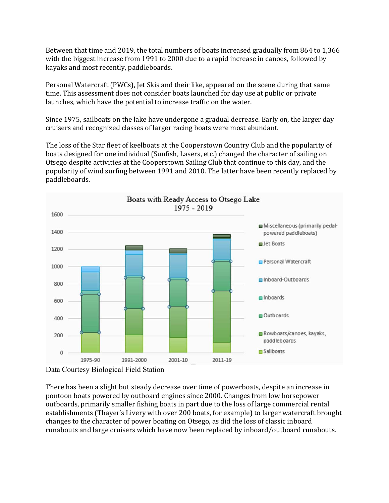Between that time and 2019, the total numbers of boats increased gradually from 864 to 1,366 with the biggest increase from 1991 to 2000 due to a rapid increase in canoes, followed by kayaks and most recently, paddleboards.

Personal Watercraft (PWCs), Jet Skis and their like, appeared on the scene during that same time. This assessment does not consider boats launched for day use at public or private launches, which have the potential to increase traffic on the water.

Since 1975, sailboats on the lake have undergone a gradual decrease. Early on, the larger day cruisers and recognized classes of larger racing boats were most abundant.

The loss of the Star fleet of keelboats at the Cooperstown Country Club and the popularity of boats designed for one individual (Sunfish, Lasers, etc.) changed the character of sailing on Otsego despite activities at the Cooperstown Sailing Club that continue to this day, and the popularity of wind surfing between 1991 and 2010. The latter have been recently replaced by paddleboards.



Data Courtesy Biological Field Station

There has been a slight but steady decrease over time of powerboats, despite an increase in pontoon boats powered by outboard engines since 2000. Changes from low horsepower outboards, primarily smaller fishing boats in part due to the loss of large commercial rental establishments (Thayer's Livery with over 200 boats, for example) to larger watercraft brought changes to the character of power boating on Otsego, as did the loss of classic inboard runabouts and large cruisers which have now been replaced by inboard/outboard runabouts.